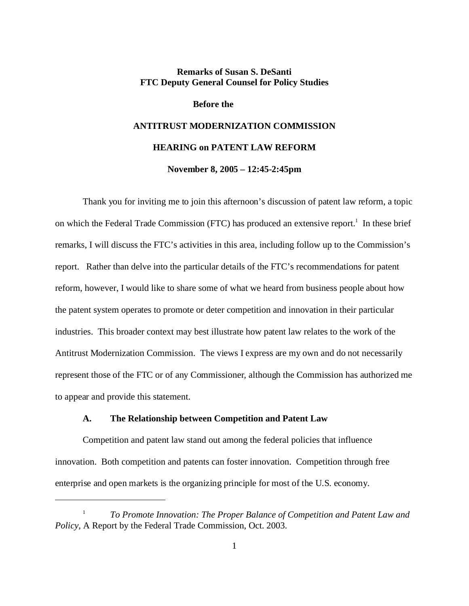## **Remarks of Susan S. DeSanti FTC Deputy General Counsel for Policy Studies**

**Before the** 

# **ANTITRUST MODERNIZATION COMMISSION HEARING on PATENT LAW REFORM November 8, 2005 – 12:45-2:45pm**

Thank you for inviting me to join this afternoon's discussion of patent law reform, a topic on which the Federal Trade Commission (FTC) has produced an extensive report.<sup>1</sup> In these brief remarks, I will discuss the FTC's activities in this area, including follow up to the Commission's report. Rather than delve into the particular details of the FTC's recommendations for patent reform, however, I would like to share some of what we heard from business people about how the patent system operates to promote or deter competition and innovation in their particular industries. This broader context may best illustrate how patent law relates to the work of the Antitrust Modernization Commission. The views I express are my own and do not necessarily represent those of the FTC or of any Commissioner, although the Commission has authorized me to appear and provide this statement.

#### **A. The Relationship between Competition and Patent Law**

Competition and patent law stand out among the federal policies that influence innovation. Both competition and patents can foster innovation. Competition through free enterprise and open markets is the organizing principle for most of the U.S. economy.

<sup>1</sup> *To Promote Innovation: The Proper Balance of Competition and Patent Law and Policy*, A Report by the Federal Trade Commission, Oct. 2003.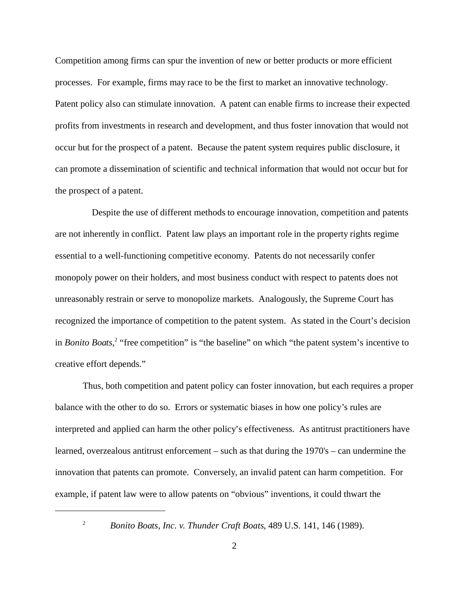Competition among firms can spur the invention of new or better products or more efficient processes. For example, firms may race to be the first to market an innovative technology. Patent policy also can stimulate innovation. A patent can enable firms to increase their expected profits from investments in research and development, and thus foster innovation that would not occur but for the prospect of a patent. Because the patent system requires public disclosure, it can promote a dissemination of scientific and technical information that would not occur but for the prospect of a patent.

 Despite the use of different methods to encourage innovation, competition and patents are not inherently in conflict. Patent law plays an important role in the property rights regime essential to a well-functioning competitive economy. Patents do not necessarily confer monopoly power on their holders, and most business conduct with respect to patents does not unreasonably restrain or serve to monopolize markets. Analogously, the Supreme Court has recognized the importance of competition to the patent system. As stated in the Court's decision in *Bonito Boats*,<sup>2</sup> "free competition" is "the baseline" on which "the patent system's incentive to creative effort depends."

Thus, both competition and patent policy can foster innovation, but each requires a proper balance with the other to do so. Errors or systematic biases in how one policy's rules are interpreted and applied can harm the other policy's effectiveness. As antitrust practitioners have learned, overzealous antitrust enforcement – such as that during the 1970's – can undermine the innovation that patents can promote. Conversely, an invalid patent can harm competition. For example, if patent law were to allow patents on "obvious" inventions, it could thwart the

<sup>&</sup>lt;sup>2</sup> *Bonito Boats, Inc. v. Thunder Craft Boats, 489 U.S.* 141, 146 (1989).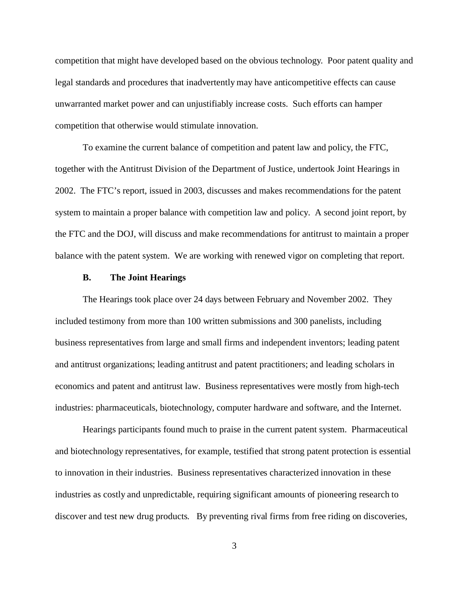competition that might have developed based on the obvious technology. Poor patent quality and legal standards and procedures that inadvertently may have anticompetitive effects can cause unwarranted market power and can unjustifiably increase costs. Such efforts can hamper competition that otherwise would stimulate innovation.

To examine the current balance of competition and patent law and policy, the FTC, together with the Antitrust Division of the Department of Justice, undertook Joint Hearings in 2002. The FTC's report, issued in 2003, discusses and makes recommendations for the patent system to maintain a proper balance with competition law and policy. A second joint report, by the FTC and the DOJ, will discuss and make recommendations for antitrust to maintain a proper balance with the patent system. We are working with renewed vigor on completing that report.

### **B. The Joint Hearings**

The Hearings took place over 24 days between February and November 2002. They included testimony from more than 100 written submissions and 300 panelists, including business representatives from large and small firms and independent inventors; leading patent and antitrust organizations; leading antitrust and patent practitioners; and leading scholars in economics and patent and antitrust law. Business representatives were mostly from high-tech industries: pharmaceuticals, biotechnology, computer hardware and software, and the Internet.

Hearings participants found much to praise in the current patent system. Pharmaceutical and biotechnology representatives, for example, testified that strong patent protection is essential to innovation in their industries. Business representatives characterized innovation in these industries as costly and unpredictable, requiring significant amounts of pioneering research to discover and test new drug products. By preventing rival firms from free riding on discoveries,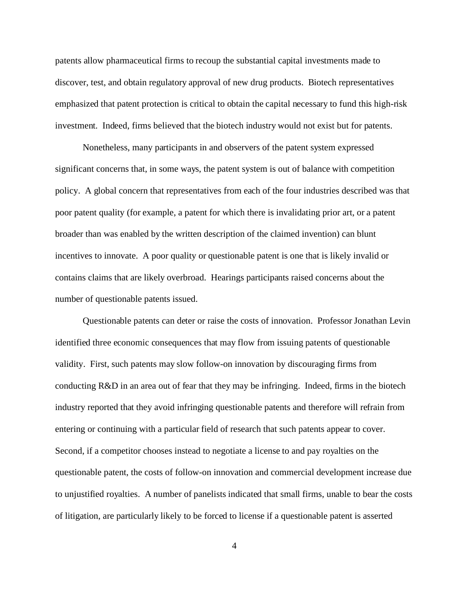patents allow pharmaceutical firms to recoup the substantial capital investments made to discover, test, and obtain regulatory approval of new drug products. Biotech representatives emphasized that patent protection is critical to obtain the capital necessary to fund this high-risk investment. Indeed, firms believed that the biotech industry would not exist but for patents.

Nonetheless, many participants in and observers of the patent system expressed significant concerns that, in some ways, the patent system is out of balance with competition policy. A global concern that representatives from each of the four industries described was that poor patent quality (for example, a patent for which there is invalidating prior art, or a patent broader than was enabled by the written description of the claimed invention) can blunt incentives to innovate. A poor quality or questionable patent is one that is likely invalid or contains claims that are likely overbroad. Hearings participants raised concerns about the number of questionable patents issued.

Questionable patents can deter or raise the costs of innovation. Professor Jonathan Levin identified three economic consequences that may flow from issuing patents of questionable validity. First, such patents may slow follow-on innovation by discouraging firms from conducting R&D in an area out of fear that they may be infringing. Indeed, firms in the biotech industry reported that they avoid infringing questionable patents and therefore will refrain from entering or continuing with a particular field of research that such patents appear to cover. Second, if a competitor chooses instead to negotiate a license to and pay royalties on the questionable patent, the costs of follow-on innovation and commercial development increase due to unjustified royalties. A number of panelists indicated that small firms, unable to bear the costs of litigation, are particularly likely to be forced to license if a questionable patent is asserted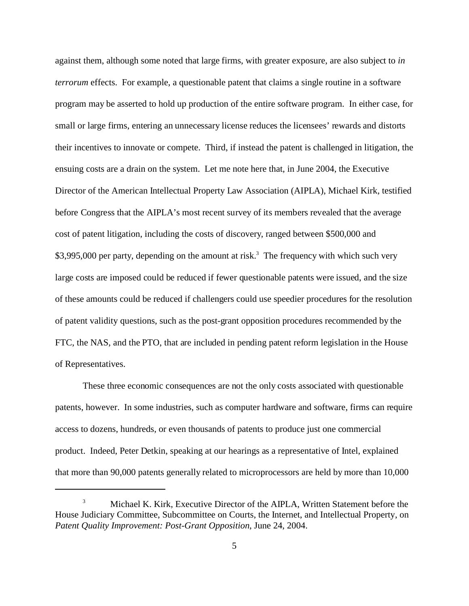against them, although some noted that large firms, with greater exposure, are also subject to *in terrorum* effects. For example, a questionable patent that claims a single routine in a software program may be asserted to hold up production of the entire software program. In either case, for small or large firms, entering an unnecessary license reduces the licensees' rewards and distorts their incentives to innovate or compete. Third, if instead the patent is challenged in litigation, the ensuing costs are a drain on the system. Let me note here that, in June 2004, the Executive Director of the American Intellectual Property Law Association (AIPLA), Michael Kirk, testified before Congress that the AIPLA's most recent survey of its members revealed that the average cost of patent litigation, including the costs of discovery, ranged between \$500,000 and \$3,995,000 per party, depending on the amount at risk.<sup>3</sup> The frequency with which such very large costs are imposed could be reduced if fewer questionable patents were issued, and the size of these amounts could be reduced if challengers could use speedier procedures for the resolution of patent validity questions, such as the post-grant opposition procedures recommended by the FTC, the NAS, and the PTO, that are included in pending patent reform legislation in the House of Representatives.

These three economic consequences are not the only costs associated with questionable patents, however. In some industries, such as computer hardware and software, firms can require access to dozens, hundreds, or even thousands of patents to produce just one commercial product. Indeed, Peter Detkin, speaking at our hearings as a representative of Intel, explained that more than 90,000 patents generally related to microprocessors are held by more than 10,000

<sup>3</sup> Michael K. Kirk, Executive Director of the AIPLA, Written Statement before the House Judiciary Committee, Subcommittee on Courts, the Internet, and Intellectual Property, on *Patent Quality Improvement: Post-Grant Opposition*, June 24, 2004.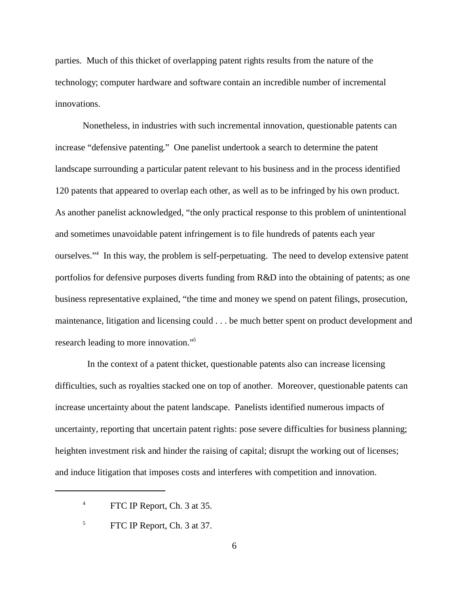parties. Much of this thicket of overlapping patent rights results from the nature of the technology; computer hardware and software contain an incredible number of incremental innovations.

Nonetheless, in industries with such incremental innovation, questionable patents can increase "defensive patenting." One panelist undertook a search to determine the patent landscape surrounding a particular patent relevant to his business and in the process identified 120 patents that appeared to overlap each other, as well as to be infringed by his own product. As another panelist acknowledged, "the only practical response to this problem of unintentional and sometimes unavoidable patent infringement is to file hundreds of patents each year ourselves."<sup>4</sup> In this way, the problem is self-perpetuating. The need to develop extensive patent portfolios for defensive purposes diverts funding from R&D into the obtaining of patents; as one business representative explained, "the time and money we spend on patent filings, prosecution, maintenance, litigation and licensing could . . . be much better spent on product development and research leading to more innovation."<sup>5</sup>

 In the context of a patent thicket, questionable patents also can increase licensing difficulties, such as royalties stacked one on top of another. Moreover, questionable patents can increase uncertainty about the patent landscape. Panelists identified numerous impacts of uncertainty, reporting that uncertain patent rights: pose severe difficulties for business planning; heighten investment risk and hinder the raising of capital; disrupt the working out of licenses; and induce litigation that imposes costs and interferes with competition and innovation.

<sup>4</sup> FTC IP Report, Ch. 3 at 35.

<sup>&</sup>lt;sup>5</sup> FTC IP Report, Ch. 3 at 37.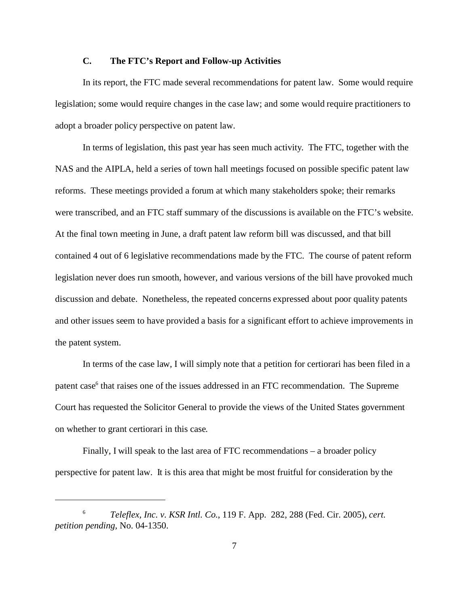#### **C. The FTC's Report and Follow-up Activities**

In its report, the FTC made several recommendations for patent law. Some would require legislation; some would require changes in the case law; and some would require practitioners to adopt a broader policy perspective on patent law.

In terms of legislation, this past year has seen much activity. The FTC, together with the NAS and the AIPLA, held a series of town hall meetings focused on possible specific patent law reforms. These meetings provided a forum at which many stakeholders spoke; their remarks were transcribed, and an FTC staff summary of the discussions is available on the FTC's website. At the final town meeting in June, a draft patent law reform bill was discussed, and that bill contained 4 out of 6 legislative recommendations made by the FTC. The course of patent reform legislation never does run smooth, however, and various versions of the bill have provoked much discussion and debate. Nonetheless, the repeated concerns expressed about poor quality patents and other issues seem to have provided a basis for a significant effort to achieve improvements in the patent system.

In terms of the case law, I will simply note that a petition for certiorari has been filed in a patent case<sup>6</sup> that raises one of the issues addressed in an FTC recommendation. The Supreme Court has requested the Solicitor General to provide the views of the United States government on whether to grant certiorari in this case.

Finally, I will speak to the last area of FTC recommendations – a broader policy perspective for patent law. It is this area that might be most fruitful for consideration by the

<sup>6</sup> *Teleflex, Inc. v. KSR Intl. Co.*, 119 F. App. 282, 288 (Fed. Cir. 2005), *cert. petition pending,* No. 04-1350.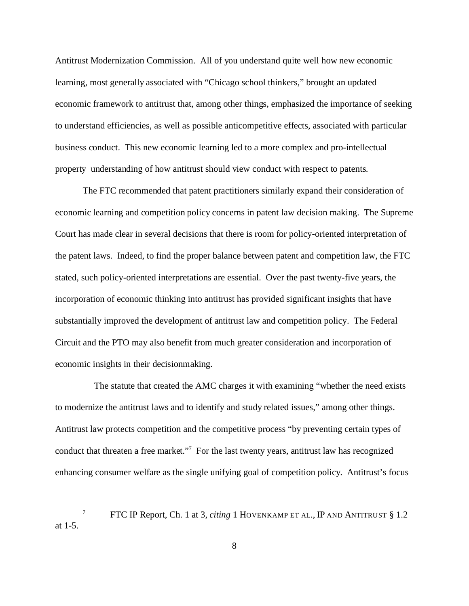Antitrust Modernization Commission. All of you understand quite well how new economic learning, most generally associated with "Chicago school thinkers," brought an updated economic framework to antitrust that, among other things, emphasized the importance of seeking to understand efficiencies, as well as possible anticompetitive effects, associated with particular business conduct. This new economic learning led to a more complex and pro-intellectual property understanding of how antitrust should view conduct with respect to patents.

The FTC recommended that patent practitioners similarly expand their consideration of economic learning and competition policy concerns in patent law decision making. The Supreme Court has made clear in several decisions that there is room for policy-oriented interpretation of the patent laws. Indeed, to find the proper balance between patent and competition law, the FTC stated, such policy-oriented interpretations are essential. Over the past twenty-five years, the incorporation of economic thinking into antitrust has provided significant insights that have substantially improved the development of antitrust law and competition policy. The Federal Circuit and the PTO may also benefit from much greater consideration and incorporation of economic insights in their decisionmaking.

The statute that created the AMC charges it with examining "whether the need exists" to modernize the antitrust laws and to identify and study related issues," among other things. Antitrust law protects competition and the competitive process "by preventing certain types of conduct that threaten a free market."<sup>7</sup> For the last twenty years, antitrust law has recognized enhancing consumer welfare as the single unifying goal of competition policy. Antitrust's focus

<sup>7</sup> FTC IP Report, Ch. 1 at 3, *citing* 1 HOVENKAMP ET AL., IP AND ANTITRUST § 1.2 at 1-5.